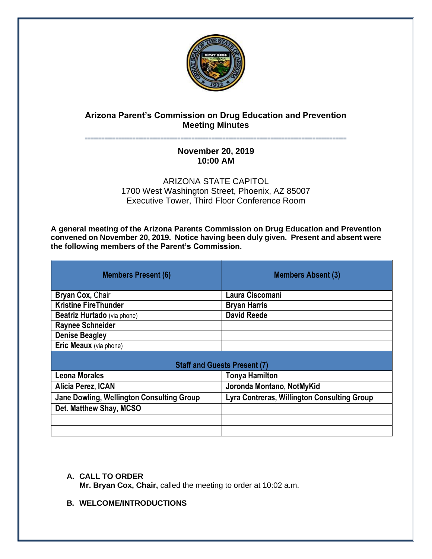

# **Arizona Parent's Commission on Drug Education and Prevention Meeting Minutes**

## **˭˭˭˭˭˭˭˭˭˭˭˭˭˭˭˭˭˭˭˭˭˭˭˭˭˭˭˭˭˭˭˭˭˭˭˭˭˭˭˭˭˭˭˭˭˭˭˭˭˭˭˭˭˭˭˭˭˭˭˭˭˭˭˭˭˭˭˭˭˭˭˭˭˭˭˭˭˭˭˭˭˭˭˭˭˭˭˭˭˭˭˭˭ November 20, 2019 10:00 AM**

ARIZONA STATE CAPITOL 1700 West Washington Street, Phoenix, AZ 85007 Executive Tower, Third Floor Conference Room

**A general meeting of the Arizona Parents Commission on Drug Education and Prevention convened on November 20, 2019. Notice having been duly given. Present and absent were the following members of the Parent's Commission.**

| <b>Members Present (6)</b>                | <b>Members Absent (3)</b>                   |
|-------------------------------------------|---------------------------------------------|
| Bryan Cox, Chair                          | Laura Ciscomani                             |
| <b>Kristine FireThunder</b>               | <b>Bryan Harris</b>                         |
| Beatriz Hurtado (via phone)               | <b>David Reede</b>                          |
| <b>Raynee Schneider</b>                   |                                             |
| <b>Denise Beagley</b>                     |                                             |
| Eric Meaux (via phone)                    |                                             |
| <b>Staff and Guests Present (7)</b>       |                                             |
| <b>Leona Morales</b>                      | <b>Tonya Hamilton</b>                       |
| Alicia Perez, ICAN                        | Joronda Montano, NotMyKid                   |
| Jane Dowling, Wellington Consulting Group | Lyra Contreras, Willington Consulting Group |
| Det. Matthew Shay, MCSO                   |                                             |
|                                           |                                             |

## **A. CALL TO ORDER**

**Mr. Bryan Cox, Chair,** called the meeting to order at 10:02 a.m.

**B. WELCOME/INTRODUCTIONS**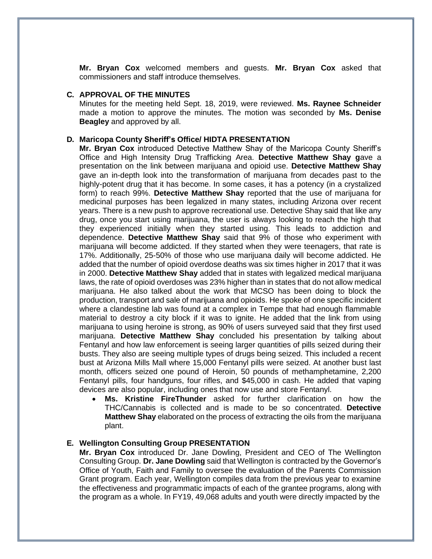**Mr. Bryan Cox** welcomed members and guests. **Mr. Bryan Cox** asked that commissioners and staff introduce themselves.

## **C. APPROVAL OF THE MINUTES**

Minutes for the meeting held Sept. 18, 2019, were reviewed. **Ms. Raynee Schneider** made a motion to approve the minutes. The motion was seconded by **Ms. Denise Beagley** and approved by all.

#### **D. Maricopa County Sheriff's Office/ HIDTA PRESENTATION**

**Mr. Bryan Cox** introduced Detective Matthew Shay of the Maricopa County Sheriff's Office and High Intensity Drug Trafficking Area. **Detective Matthew Shay g**ave a presentation on the link between marijuana and opioid use. **Detective Matthew Shay** gave an in-depth look into the transformation of marijuana from decades past to the highly-potent drug that it has become. In some cases, it has a potency (in a crystalized form) to reach 99%. **Detective Matthew Shay** reported that the use of marijuana for medicinal purposes has been legalized in many states, including Arizona over recent years. There is a new push to approve recreational use. Detective Shay said that like any drug, once you start using marijuana, the user is always looking to reach the high that they experienced initially when they started using. This leads to addiction and dependence. **Detective Matthew Shay** said that 9% of those who experiment with marijuana will become addicted. If they started when they were teenagers, that rate is 17%. Additionally, 25-50% of those who use marijuana daily will become addicted. He added that the number of opioid overdose deaths was six times higher in 2017 that it was in 2000. **Detective Matthew Shay** added that in states with legalized medical marijuana laws, the rate of opioid overdoses was 23% higher than in states that do not allow medical marijuana. He also talked about the work that MCSO has been doing to block the production, transport and sale of marijuana and opioids. He spoke of one specific incident where a clandestine lab was found at a complex in Tempe that had enough flammable material to destroy a city block if it was to ignite. He added that the link from using marijuana to using heroine is strong, as 90% of users surveyed said that they first used marijuana. **Detective Matthew Shay** concluded his presentation by talking about Fentanyl and how law enforcement is seeing larger quantities of pills seized during their busts. They also are seeing multiple types of drugs being seized. This included a recent bust at Arizona Mills Mall where 15,000 Fentanyl pills were seized. At another bust last month, officers seized one pound of Heroin, 50 pounds of methamphetamine, 2,200 Fentanyl pills, four handguns, four rifles, and \$45,000 in cash. He added that vaping devices are also popular, including ones that now use and store Fentanyl.

• **Ms. Kristine FireThunder** asked for further clarification on how the THC/Cannabis is collected and is made to be so concentrated. **Detective Matthew Shay** elaborated on the process of extracting the oils from the marijuana plant.

#### **E. Wellington Consulting Group PRESENTATION**

**Mr. Bryan Cox** introduced Dr. Jane Dowling, President and CEO of The Wellington Consulting Group. **Dr. Jane Dowling** said that Wellington is contracted by the Governor's Office of Youth, Faith and Family to oversee the evaluation of the Parents Commission Grant program. Each year, Wellington compiles data from the previous year to examine the effectiveness and programmatic impacts of each of the grantee programs, along with the program as a whole. In FY19, 49,068 adults and youth were directly impacted by the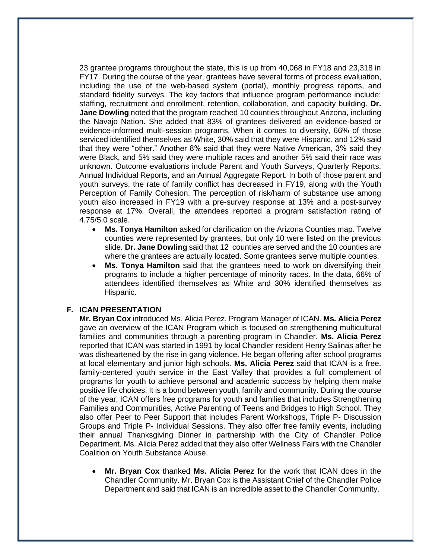23 grantee programs throughout the state, this is up from 40,068 in FY18 and 23,318 in FY17. During the course of the year, grantees have several forms of process evaluation, including the use of the web-based system (portal), monthly progress reports, and standard fidelity surveys. The key factors that influence program performance include: staffing, recruitment and enrollment, retention, collaboration, and capacity building. **Dr. Jane Dowling** noted that the program reached 10 counties throughout Arizona, including the Navajo Nation. She added that 83% of grantees delivered an evidence-based or evidence-informed multi-session programs. When it comes to diversity, 66% of those serviced identified themselves as White, 30% said that they were Hispanic, and 12% said that they were "other." Another 8% said that they were Native American, 3% said they were Black, and 5% said they were multiple races and another 5% said their race was unknown. Outcome evaluations include Parent and Youth Surveys, Quarterly Reports, Annual Individual Reports, and an Annual Aggregate Report. In both of those parent and youth surveys, the rate of family conflict has decreased in FY19, along with the Youth Perception of Family Cohesion. The perception of risk/harm of substance use among youth also increased in FY19 with a pre-survey response at 13% and a post-survey response at 17%. Overall, the attendees reported a program satisfaction rating of 4.75/5.0 scale.

- **Ms. Tonya Hamilton** asked for clarification on the Arizona Counties map. Twelve counties were represented by grantees, but only 10 were listed on the previous slide. **Dr. Jane Dowling** said that 12 counties are served and the 10 counties are where the grantees are actually located. Some grantees serve multiple counties.
- **Ms. Tonya Hamilton** said that the grantees need to work on diversifying their programs to include a higher percentage of minority races. In the data, 66% of attendees identified themselves as White and 30% identified themselves as Hispanic.

#### **F. ICAN PRESENTATION**

**Mr. Bryan Cox** introduced Ms. Alicia Perez, Program Manager of ICAN. **Ms. Alicia Perez** gave an overview of the ICAN Program which is focused on strengthening multicultural families and communities through a parenting program in Chandler. **Ms. Alicia Perez** reported that ICAN was started in 1991 by local Chandler resident Henry Salinas after he was disheartened by the rise in gang violence. He began offering after school programs at local elementary and junior high schools. **Ms. Alicia Perez** said that ICAN is a free, family-centered youth service in the East Valley that provides a full complement of programs for youth to achieve personal and academic success by helping them make positive life choices. It is a bond between youth, family and community. During the course of the year, ICAN offers free programs for youth and families that includes Strengthening Families and Communities, Active Parenting of Teens and Bridges to High School. They also offer Peer to Peer Support that includes Parent Workshops, Triple P- Discussion Groups and Triple P- Individual Sessions. They also offer free family events, including their annual Thanksgiving Dinner in partnership with the City of Chandler Police Department. Ms. Alicia Perez added that they also offer Wellness Fairs with the Chandler Coalition on Youth Substance Abuse.

• **Mr. Bryan Cox** thanked **Ms. Alicia Perez** for the work that ICAN does in the Chandler Community. Mr. Bryan Cox is the Assistant Chief of the Chandler Police Department and said that ICAN is an incredible asset to the Chandler Community.